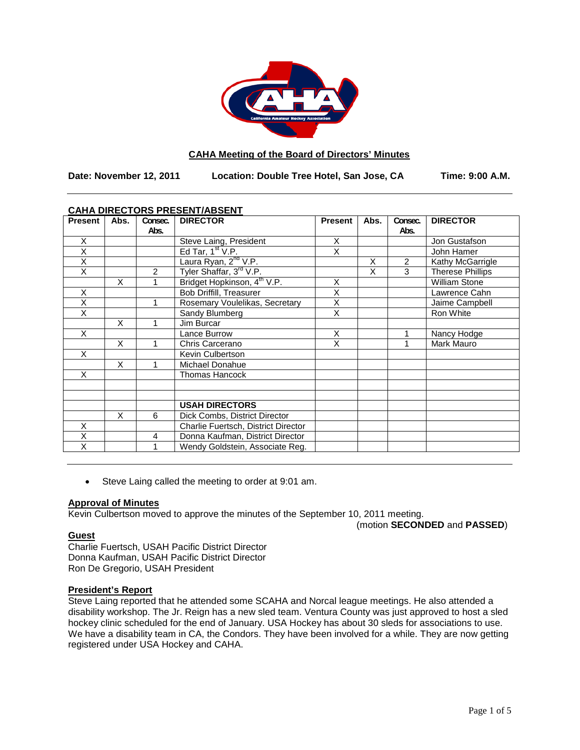

### **CAHA Meeting of the Board of Directors' Minutes**

**Date: November 12, 2011 Location: Double Tree Hotel, San Jose, CA Time: 9:00 A.M.**

# **CAHA DIRECTORS PRESENT/ABSENT**

| <b>Present</b> | Abs. | Consec. | <b>DIRECTOR</b>                         | <b>Present</b> | Abs. | Consec.       | <b>DIRECTOR</b>         |
|----------------|------|---------|-----------------------------------------|----------------|------|---------------|-------------------------|
|                |      | Abs.    |                                         |                |      | Abs.          |                         |
| X              |      |         | Steve Laing, President                  | X              |      |               | Jon Gustafson           |
| X              |      |         | Ed Tar, $1st V.P.$                      | X              |      |               | John Hamer              |
| X              |      |         | Laura Ryan, 2 <sup>nd</sup> V.P.        |                | X    | $\mathcal{P}$ | Kathy McGarrigle        |
| X              |      | 2       | Tyler Shaffar, 3rd V.P.                 |                | X    | 3             | <b>Therese Phillips</b> |
|                | X    | 1       | Bridget Hopkinson, 4 <sup>th</sup> V.P. | X              |      |               | <b>William Stone</b>    |
| X              |      |         | <b>Bob Driffill, Treasurer</b>          | Χ              |      |               | Lawrence Cahn           |
| X              |      |         | Rosemary Voulelikas, Secretary          | X              |      |               | Jaime Campbell          |
| X              |      |         | Sandy Blumberg                          | X              |      |               | Ron White               |
|                | X    |         | Jim Burcar                              |                |      |               |                         |
| X              |      |         | Lance Burrow                            | X              |      | 1             | Nancy Hodge             |
|                | X    |         | Chris Carcerano                         | X              |      | 1             | Mark Mauro              |
| X              |      |         | Kevin Culbertson                        |                |      |               |                         |
|                | X    |         | Michael Donahue                         |                |      |               |                         |
| X              |      |         | <b>Thomas Hancock</b>                   |                |      |               |                         |
|                |      |         |                                         |                |      |               |                         |
|                |      |         |                                         |                |      |               |                         |
|                |      |         | <b>USAH DIRECTORS</b>                   |                |      |               |                         |
|                | X    | 6       | Dick Combs, District Director           |                |      |               |                         |
| X              |      |         | Charlie Fuertsch, District Director     |                |      |               |                         |
| X              |      | 4       | Donna Kaufman, District Director        |                |      |               |                         |
| X              |      |         | Wendy Goldstein, Associate Reg.         |                |      |               |                         |

• Steve Laing called the meeting to order at 9:01 am.

# **Approval of Minutes**

Kevin Culbertson moved to approve the minutes of the September 10, 2011 meeting.

(motion **SECONDED** and **PASSED**)

# **Guest**

Charlie Fuertsch, USAH Pacific District Director Donna Kaufman, USAH Pacific District Director Ron De Gregorio, USAH President

# **President's Report**

Steve Laing reported that he attended some SCAHA and Norcal league meetings. He also attended a disability workshop. The Jr. Reign has a new sled team. Ventura County was just approved to host a sled hockey clinic scheduled for the end of January. USA Hockey has about 30 sleds for associations to use. We have a disability team in CA, the Condors. They have been involved for a while. They are now getting registered under USA Hockey and CAHA.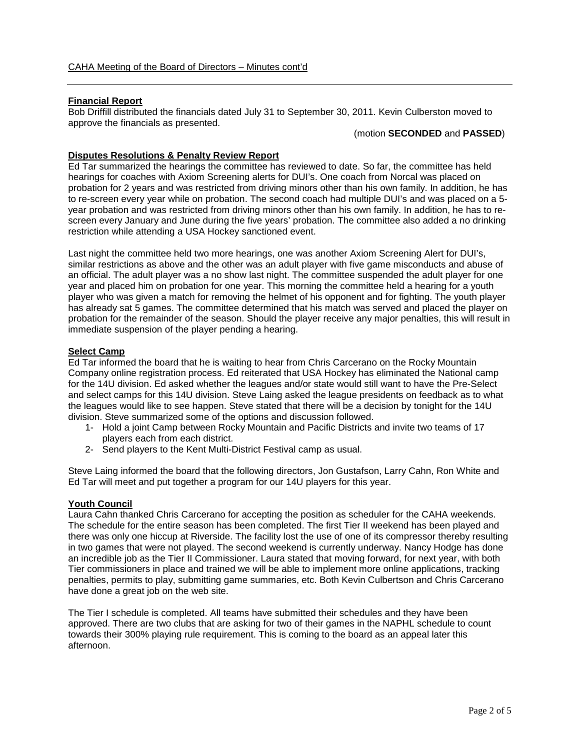### **Financial Report**

Bob Driffill distributed the financials dated July 31 to September 30, 2011. Kevin Culberston moved to approve the financials as presented.

(motion **SECONDED** and **PASSED**)

#### **Disputes Resolutions & Penalty Review Report**

Ed Tar summarized the hearings the committee has reviewed to date. So far, the committee has held hearings for coaches with Axiom Screening alerts for DUI's. One coach from Norcal was placed on probation for 2 years and was restricted from driving minors other than his own family. In addition, he has to re-screen every year while on probation. The second coach had multiple DUI's and was placed on a 5 year probation and was restricted from driving minors other than his own family. In addition, he has to rescreen every January and June during the five years' probation. The committee also added a no drinking restriction while attending a USA Hockey sanctioned event.

Last night the committee held two more hearings, one was another Axiom Screening Alert for DUI's, similar restrictions as above and the other was an adult player with five game misconducts and abuse of an official. The adult player was a no show last night. The committee suspended the adult player for one year and placed him on probation for one year. This morning the committee held a hearing for a youth player who was given a match for removing the helmet of his opponent and for fighting. The youth player has already sat 5 games. The committee determined that his match was served and placed the player on probation for the remainder of the season. Should the player receive any major penalties, this will result in immediate suspension of the player pending a hearing.

# **Select Camp**

Ed Tar informed the board that he is waiting to hear from Chris Carcerano on the Rocky Mountain Company online registration process. Ed reiterated that USA Hockey has eliminated the National camp for the 14U division. Ed asked whether the leagues and/or state would still want to have the Pre-Select and select camps for this 14U division. Steve Laing asked the league presidents on feedback as to what the leagues would like to see happen. Steve stated that there will be a decision by tonight for the 14U division. Steve summarized some of the options and discussion followed.

- 1- Hold a joint Camp between Rocky Mountain and Pacific Districts and invite two teams of 17 players each from each district.
- 2- Send players to the Kent Multi-District Festival camp as usual.

Steve Laing informed the board that the following directors, Jon Gustafson, Larry Cahn, Ron White and Ed Tar will meet and put together a program for our 14U players for this year.

#### **Youth Council**

Laura Cahn thanked Chris Carcerano for accepting the position as scheduler for the CAHA weekends. The schedule for the entire season has been completed. The first Tier II weekend has been played and there was only one hiccup at Riverside. The facility lost the use of one of its compressor thereby resulting in two games that were not played. The second weekend is currently underway. Nancy Hodge has done an incredible job as the Tier II Commissioner. Laura stated that moving forward, for next year, with both Tier commissioners in place and trained we will be able to implement more online applications, tracking penalties, permits to play, submitting game summaries, etc. Both Kevin Culbertson and Chris Carcerano have done a great job on the web site.

The Tier I schedule is completed. All teams have submitted their schedules and they have been approved. There are two clubs that are asking for two of their games in the NAPHL schedule to count towards their 300% playing rule requirement. This is coming to the board as an appeal later this afternoon.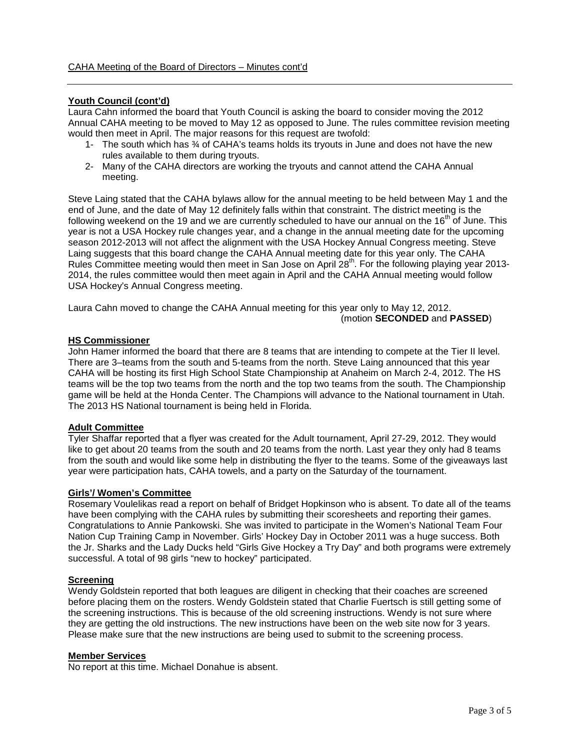### **Youth Council (cont'd)**

Laura Cahn informed the board that Youth Council is asking the board to consider moving the 2012 Annual CAHA meeting to be moved to May 12 as opposed to June. The rules committee revision meeting would then meet in April. The major reasons for this request are twofold:

- 1- The south which has ¾ of CAHA's teams holds its tryouts in June and does not have the new rules available to them during tryouts.
- 2- Many of the CAHA directors are working the tryouts and cannot attend the CAHA Annual meeting.

Steve Laing stated that the CAHA bylaws allow for the annual meeting to be held between May 1 and the end of June, and the date of May 12 definitely falls within that constraint. The district meeting is the following weekend on the 19 and we are currently scheduled to have our annual on the 16<sup>th</sup> of June. This year is not a USA Hockey rule changes year, and a change in the annual meeting date for the upcoming season 2012-2013 will not affect the alignment with the USA Hockey Annual Congress meeting. Steve Laing suggests that this board change the CAHA Annual meeting date for this year only. The CAHA Rules Committee meeting would then meet in San Jose on April 28<sup>th</sup>. For the following playing year 2013-2014, the rules committee would then meet again in April and the CAHA Annual meeting would follow USA Hockey's Annual Congress meeting.

Laura Cahn moved to change the CAHA Annual meeting for this year only to May 12, 2012.

(motion **SECONDED** and **PASSED**)

# **HS Commissioner**

John Hamer informed the board that there are 8 teams that are intending to compete at the Tier II level. There are 3–teams from the south and 5-teams from the north. Steve Laing announced that this year CAHA will be hosting its first High School State Championship at Anaheim on March 2-4, 2012. The HS teams will be the top two teams from the north and the top two teams from the south. The Championship game will be held at the Honda Center. The Champions will advance to the National tournament in Utah. The 2013 HS National tournament is being held in Florida.

### **Adult Committee**

Tyler Shaffar reported that a flyer was created for the Adult tournament, April 27-29, 2012. They would like to get about 20 teams from the south and 20 teams from the north. Last year they only had 8 teams from the south and would like some help in distributing the flyer to the teams. Some of the giveaways last year were participation hats, CAHA towels, and a party on the Saturday of the tournament.

# **Girls'/ Women's Committee**

Rosemary Voulelikas read a report on behalf of Bridget Hopkinson who is absent. To date all of the teams have been complying with the CAHA rules by submitting their scoresheets and reporting their games. Congratulations to Annie Pankowski. She was invited to participate in the Women's National Team Four Nation Cup Training Camp in November. Girls' Hockey Day in October 2011 was a huge success. Both the Jr. Sharks and the Lady Ducks held "Girls Give Hockey a Try Day" and both programs were extremely successful. A total of 98 girls "new to hockey" participated.

#### **Screening**

Wendy Goldstein reported that both leagues are diligent in checking that their coaches are screened before placing them on the rosters. Wendy Goldstein stated that Charlie Fuertsch is still getting some of the screening instructions. This is because of the old screening instructions. Wendy is not sure where they are getting the old instructions. The new instructions have been on the web site now for 3 years. Please make sure that the new instructions are being used to submit to the screening process.

### **Member Services**

No report at this time. Michael Donahue is absent.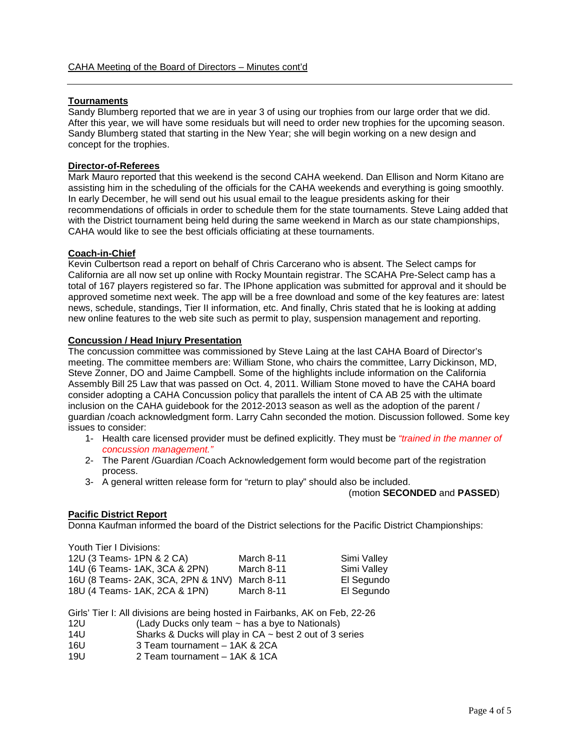### **Tournaments**

Sandy Blumberg reported that we are in year 3 of using our trophies from our large order that we did. After this year, we will have some residuals but will need to order new trophies for the upcoming season. Sandy Blumberg stated that starting in the New Year; she will begin working on a new design and concept for the trophies.

### **Director-of-Referees**

Mark Mauro reported that this weekend is the second CAHA weekend. Dan Ellison and Norm Kitano are assisting him in the scheduling of the officials for the CAHA weekends and everything is going smoothly. In early December, he will send out his usual email to the league presidents asking for their recommendations of officials in order to schedule them for the state tournaments. Steve Laing added that with the District tournament being held during the same weekend in March as our state championships, CAHA would like to see the best officials officiating at these tournaments.

### **Coach-in-Chief**

Kevin Culbertson read a report on behalf of Chris Carcerano who is absent. The Select camps for California are all now set up online with Rocky Mountain registrar. The SCAHA Pre-Select camp has a total of 167 players registered so far. The IPhone application was submitted for approval and it should be approved sometime next week. The app will be a free download and some of the key features are: latest news, schedule, standings, Tier II information, etc. And finally, Chris stated that he is looking at adding new online features to the web site such as permit to play, suspension management and reporting.

# **Concussion / Head Injury Presentation**

The concussion committee was commissioned by Steve Laing at the last CAHA Board of Director's meeting. The committee members are: William Stone, who chairs the committee, Larry Dickinson, MD, Steve Zonner, DO and Jaime Campbell. Some of the highlights include information on the California Assembly Bill 25 Law that was passed on Oct. 4, 2011. William Stone moved to have the CAHA board consider adopting a CAHA Concussion policy that parallels the intent of CA AB 25 with the ultimate inclusion on the CAHA guidebook for the 2012-2013 season as well as the adoption of the parent / guardian /coach acknowledgment form. Larry Cahn seconded the motion. Discussion followed. Some key issues to consider:

- 1- Health care licensed provider must be defined explicitly. They must be *"trained in the manner of concussion management."*
- 2- The Parent /Guardian /Coach Acknowledgement form would become part of the registration process.
- 3- A general written release form for "return to play" should also be included.

(motion **SECONDED** and **PASSED**)

#### **Pacific District Report**

Donna Kaufman informed the board of the District selections for the Pacific District Championships:

Youth Tier I Divisions:

| 12U (3 Teams- 1PN & 2 CA)                     | March 8-11 | Simi Valley |
|-----------------------------------------------|------------|-------------|
| 14U (6 Teams- 1AK, 3CA & 2PN)                 | March 8-11 | Simi Valley |
| 16U (8 Teams- 2AK, 3CA, 2PN & 1NV) March 8-11 |            | El Segundo  |
| 18U (4 Teams- 1AK, 2CA & 1PN)                 | March 8-11 | El Segundo  |

Girls' Tier I: All divisions are being hosted in Fairbanks, AK on Feb, 22-26

- 12U (Lady Ducks only team ~ has a bye to Nationals)<br>14U Sharks & Ducks will play in CA ~ best 2 out of 3 s
- 14U Sharks & Ducks will play in CA ~ best 2 out of 3 series<br>16U 3 Team tournament 1AK & 2CA
- 16U 3 Team tournament 1AK & 2CA<br>19U 2 Team tournament 1AK & 1CA
- 2 Team tournament 1AK & 1CA